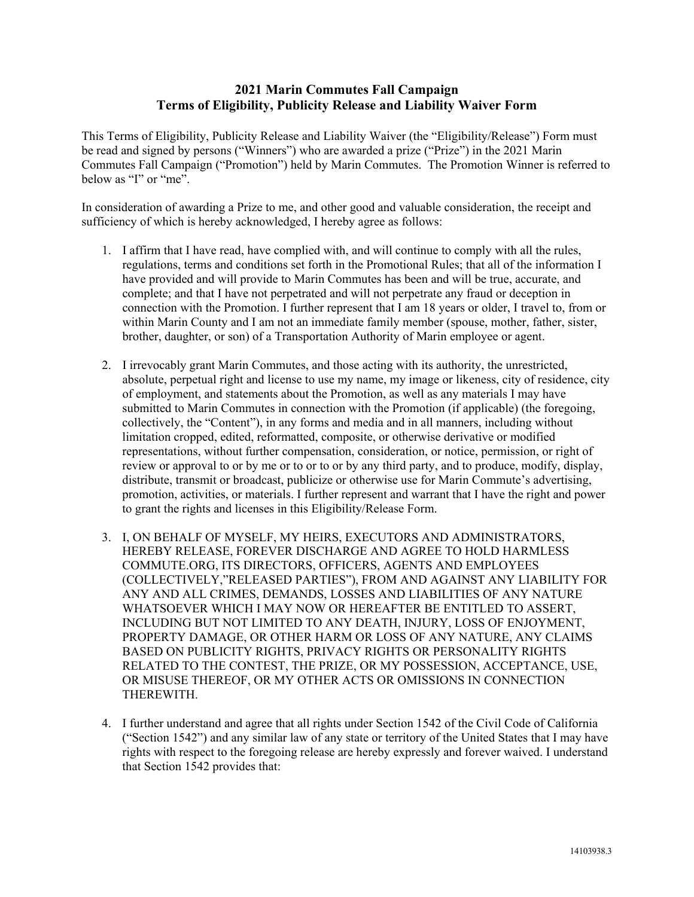## **2021 Marin Commutes Fall Campaign Terms of Eligibility, Publicity Release and Liability Waiver Form**

This Terms of Eligibility, Publicity Release and Liability Waiver (the "Eligibility/Release") Form must be read and signed by persons ("Winners") who are awarded a prize ("Prize") in the 2021 Marin Commutes Fall Campaign ("Promotion") held by Marin Commutes. The Promotion Winner is referred to below as "I" or "me".

In consideration of awarding a Prize to me, and other good and valuable consideration, the receipt and sufficiency of which is hereby acknowledged, I hereby agree as follows:

- 1. I affirm that I have read, have complied with, and will continue to comply with all the rules, regulations, terms and conditions set forth in the Promotional Rules; that all of the information I have provided and will provide to Marin Commutes has been and will be true, accurate, and complete; and that I have not perpetrated and will not perpetrate any fraud or deception in connection with the Promotion. I further represent that I am 18 years or older, I travel to, from or within Marin County and I am not an immediate family member (spouse, mother, father, sister, brother, daughter, or son) of a Transportation Authority of Marin employee or agent.
- 2. I irrevocably grant Marin Commutes, and those acting with its authority, the unrestricted, absolute, perpetual right and license to use my name, my image or likeness, city of residence, city of employment, and statements about the Promotion, as well as any materials I may have submitted to Marin Commutes in connection with the Promotion (if applicable) (the foregoing, collectively, the "Content"), in any forms and media and in all manners, including without limitation cropped, edited, reformatted, composite, or otherwise derivative or modified representations, without further compensation, consideration, or notice, permission, or right of review or approval to or by me or to or to or by any third party, and to produce, modify, display, distribute, transmit or broadcast, publicize or otherwise use for Marin Commute's advertising, promotion, activities, or materials. I further represent and warrant that I have the right and power to grant the rights and licenses in this Eligibility/Release Form.
- 3. I, ON BEHALF OF MYSELF, MY HEIRS, EXECUTORS AND ADMINISTRATORS, HEREBY RELEASE, FOREVER DISCHARGE AND AGREE TO HOLD HARMLESS COMMUTE.ORG, ITS DIRECTORS, OFFICERS, AGENTS AND EMPLOYEES (COLLECTIVELY,"RELEASED PARTIES"), FROM AND AGAINST ANY LIABILITY FOR ANY AND ALL CRIMES, DEMANDS, LOSSES AND LIABILITIES OF ANY NATURE WHATSOEVER WHICH I MAY NOW OR HEREAFTER BE ENTITLED TO ASSERT, INCLUDING BUT NOT LIMITED TO ANY DEATH, INJURY, LOSS OF ENJOYMENT, PROPERTY DAMAGE, OR OTHER HARM OR LOSS OF ANY NATURE, ANY CLAIMS BASED ON PUBLICITY RIGHTS, PRIVACY RIGHTS OR PERSONALITY RIGHTS RELATED TO THE CONTEST, THE PRIZE, OR MY POSSESSION, ACCEPTANCE, USE, OR MISUSE THEREOF, OR MY OTHER ACTS OR OMISSIONS IN CONNECTION THEREWITH.
- 4. I further understand and agree that all rights under Section 1542 of the Civil Code of California ("Section 1542") and any similar law of any state or territory of the United States that I may have rights with respect to the foregoing release are hereby expressly and forever waived. I understand that Section 1542 provides that: